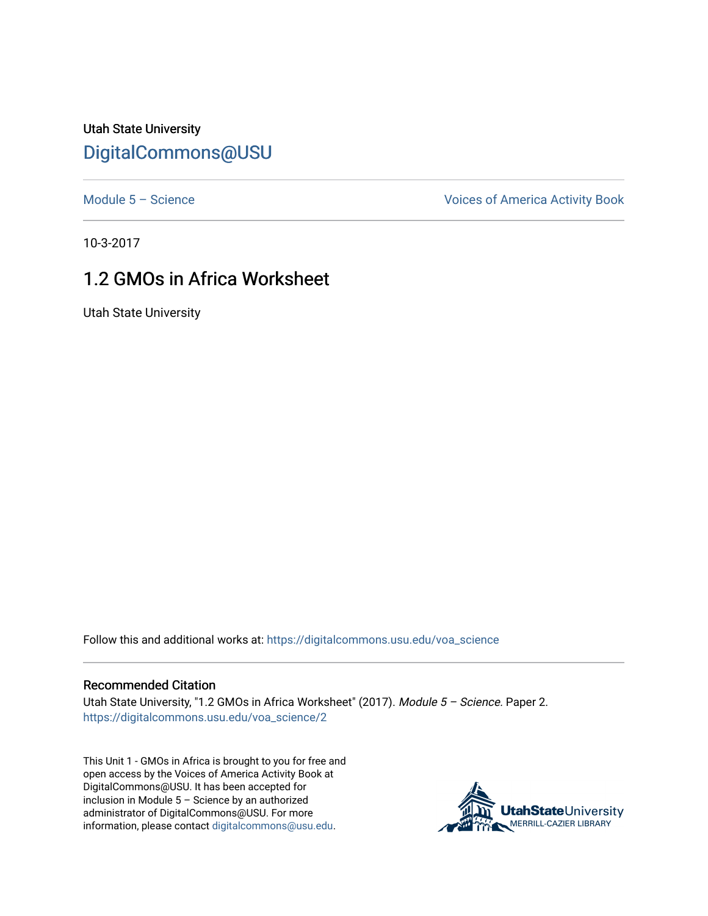Utah State University [DigitalCommons@USU](https://digitalcommons.usu.edu/)

[Module 5 – Science](https://digitalcommons.usu.edu/voa_science) Module 5 – Science Voices of America Activity Book

10-3-2017

## 1.2 GMOs in Africa Worksheet

Utah State University

Follow this and additional works at: [https://digitalcommons.usu.edu/voa\\_science](https://digitalcommons.usu.edu/voa_science?utm_source=digitalcommons.usu.edu%2Fvoa_science%2F2&utm_medium=PDF&utm_campaign=PDFCoverPages) 

## Recommended Citation

Utah State University, "1.2 GMOs in Africa Worksheet" (2017). Module 5 - Science. Paper 2. [https://digitalcommons.usu.edu/voa\\_science/2](https://digitalcommons.usu.edu/voa_science/2?utm_source=digitalcommons.usu.edu%2Fvoa_science%2F2&utm_medium=PDF&utm_campaign=PDFCoverPages) 

This Unit 1 - GMOs in Africa is brought to you for free and open access by the Voices of America Activity Book at DigitalCommons@USU. It has been accepted for inclusion in Module 5 – Science by an authorized administrator of DigitalCommons@USU. For more information, please contact [digitalcommons@usu.edu](mailto:digitalcommons@usu.edu).

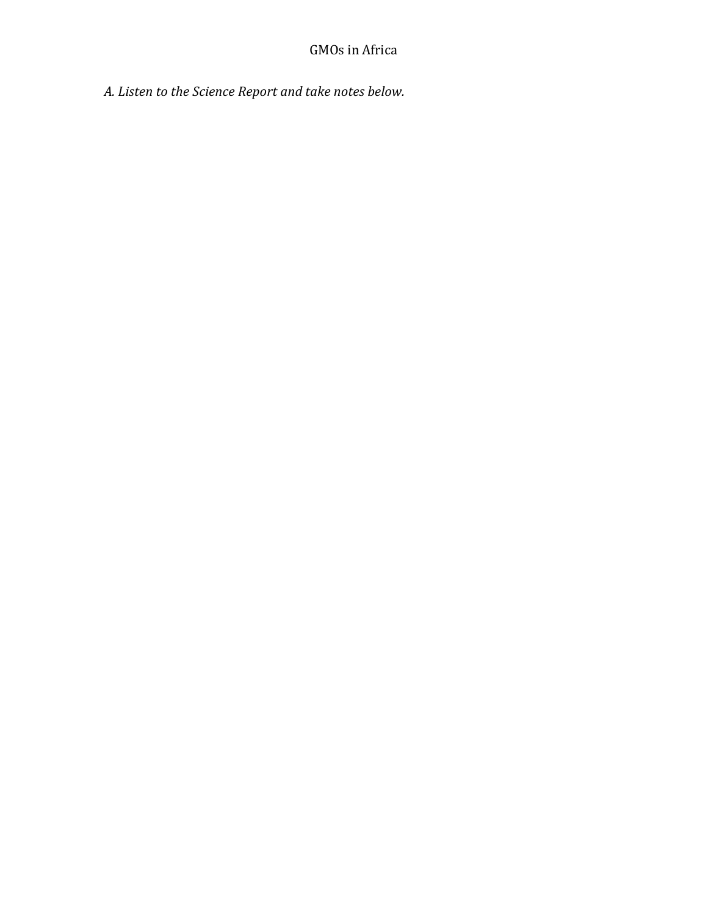*A. Listen to the Science Report and take notes below.*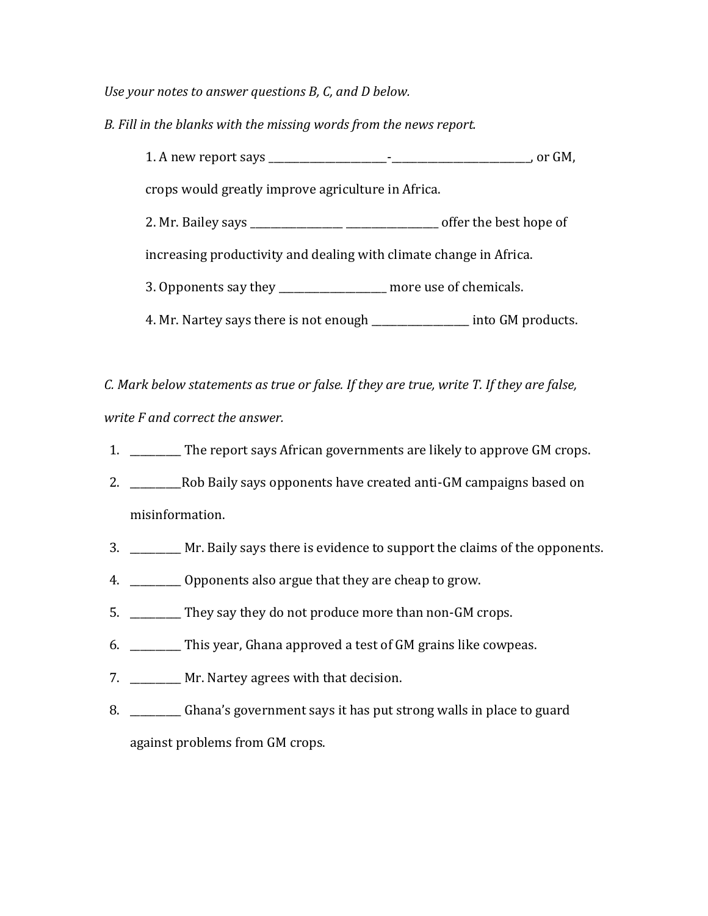*Use your notes to answer questions B, C, and D below.*

*B. Fill in the blanks with the missing words from the news report.*

1. A new report says \_\_\_\_\_\_\_\_\_\_\_\_\_\_\_\_\_\_\_\_\_\_\_-\_\_\_\_\_\_\_\_\_\_\_\_\_\_\_\_\_\_\_\_\_\_\_\_\_\_\_, or GM, crops would greatly improve agriculture in Africa. 2. Mr. Bailey says \_\_\_\_\_\_\_\_\_\_\_\_\_\_\_\_\_\_ \_\_\_\_\_\_\_\_\_\_\_\_\_\_\_\_\_\_ offer the best hope of increasing productivity and dealing with climate change in Africa. 3. Opponents say they \_\_\_\_\_\_\_\_\_\_\_\_\_\_\_\_\_\_\_\_\_ more use of chemicals. 4. Mr. Nartey says there is not enough \_\_\_\_\_\_\_\_\_\_\_\_\_\_\_\_\_\_\_ into GM products.

*C. Mark below statements as true or false. If they are true, write T. If they are false, write F and correct the answer.*

- 1. \_\_\_\_\_\_\_\_\_\_ The report says African governments are likely to approve GM crops.
- 2. \_\_\_\_\_\_\_\_\_\_Rob Baily says opponents have created anti-GM campaigns based on misinformation.
- 3. \_\_\_\_\_\_\_\_\_\_ Mr. Baily says there is evidence to support the claims of the opponents.
- 4. \_\_\_\_\_\_\_\_\_\_ Opponents also argue that they are cheap to grow.
- 5. \_\_\_\_\_\_\_\_\_\_ They say they do not produce more than non-GM crops.
- 6. \_\_\_\_\_\_\_\_\_\_ This year, Ghana approved a test of GM grains like cowpeas.
- 7. \_\_\_\_\_\_\_\_\_\_ Mr. Nartey agrees with that decision.
- 8. \_\_\_\_\_\_\_\_\_\_ Ghana's government says it has put strong walls in place to guard against problems from GM crops.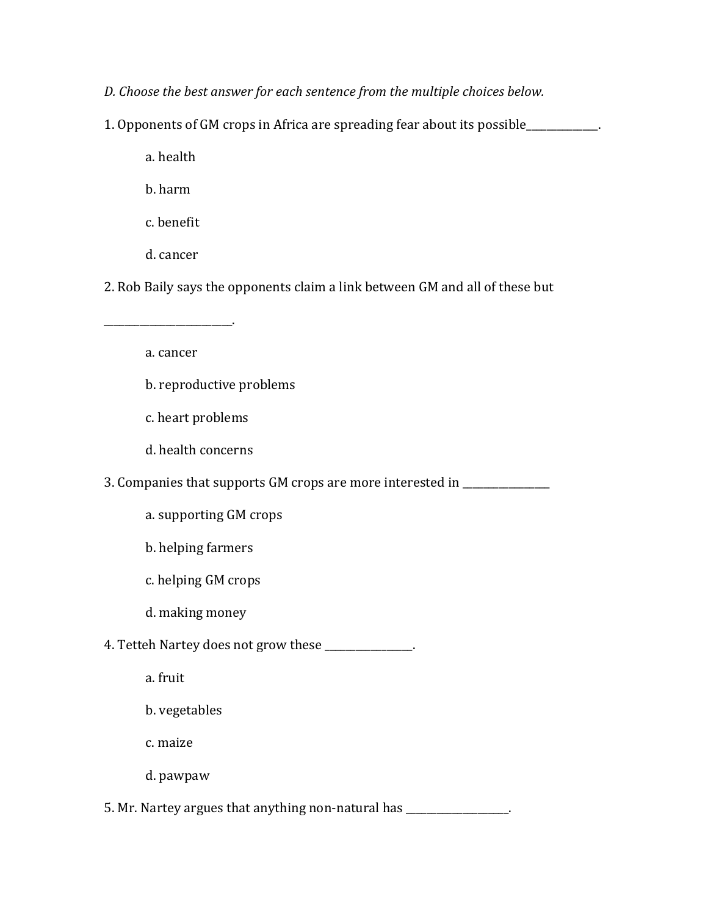*D. Choose the best answer for each sentence from the multiple choices below.* 

1. Opponents of GM crops in Africa are spreading fear about its possible\_\_\_\_\_\_\_\_\_\_\_\_\_\_.

a. health

b. harm

c. benefit

d. cancer

2. Rob Baily says the opponents claim a link between GM and all of these but

a. cancer

b. reproductive problems

c. heart problems

\_\_\_\_\_\_\_\_\_\_\_\_\_\_\_\_\_\_\_\_\_\_\_\_\_.

d. health concerns

3. Companies that supports GM crops are more interested in \_\_\_\_\_\_\_\_\_\_\_\_\_\_\_\_\_\_\_\_\_

a. supporting GM crops

b. helping farmers

c. helping GM crops

d. making money

4. Tetteh Nartey does not grow these \_\_\_\_\_\_\_\_\_\_\_\_\_.

a. fruit

b. vegetables

c. maize

d. pawpaw

5. Mr. Nartey argues that anything non-natural has \_\_\_\_\_\_\_\_\_\_\_\_\_\_\_\_\_\_\_\_.